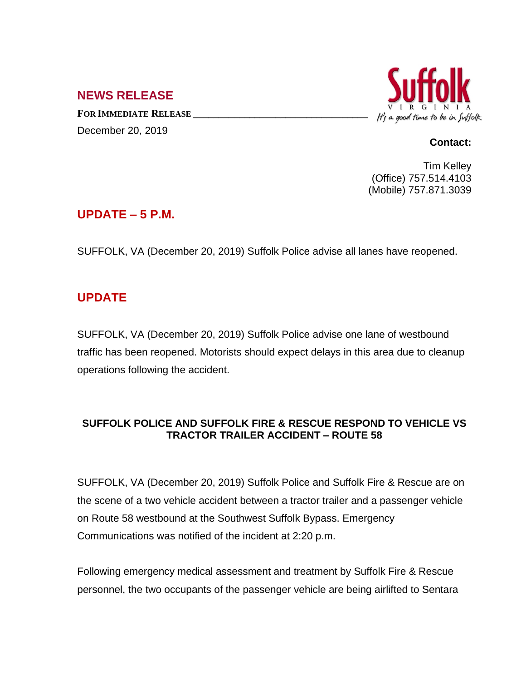## **NEWS RELEASE**

**FOR IMMEDIATE RELEASE \_\_\_\_\_\_\_\_\_\_\_\_\_\_\_\_\_\_\_\_\_\_\_\_\_\_\_\_\_\_\_\_\_\_**





#### **Contact:**

Tim Kelley (Office) 757.514.4103 (Mobile) 757.871.3039

### **UPDATE – 5 P.M.**

SUFFOLK, VA (December 20, 2019) Suffolk Police advise all lanes have reopened.

# **UPDATE**

SUFFOLK, VA (December 20, 2019) Suffolk Police advise one lane of westbound traffic has been reopened. Motorists should expect delays in this area due to cleanup operations following the accident.

#### **SUFFOLK POLICE AND SUFFOLK FIRE & RESCUE RESPOND TO VEHICLE VS TRACTOR TRAILER ACCIDENT – ROUTE 58**

SUFFOLK, VA (December 20, 2019) Suffolk Police and Suffolk Fire & Rescue are on the scene of a two vehicle accident between a tractor trailer and a passenger vehicle on Route 58 westbound at the Southwest Suffolk Bypass. Emergency Communications was notified of the incident at 2:20 p.m.

Following emergency medical assessment and treatment by Suffolk Fire & Rescue personnel, the two occupants of the passenger vehicle are being airlifted to Sentara